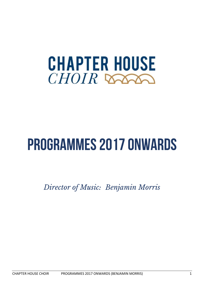

# **PROGRAMMES 2017 ONWARDS**

*Director of Music: Benjamin Morris*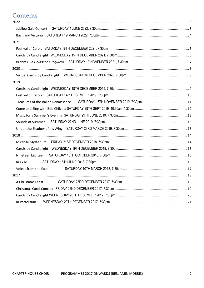# Contents

| In Exile             |  |
|----------------------|--|
| Voices from the East |  |
|                      |  |
| A Christmas Feast    |  |
|                      |  |
|                      |  |
| In Paradisum         |  |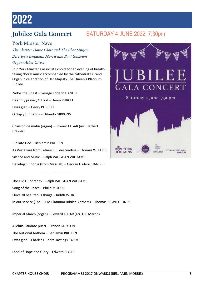# <span id="page-2-0"></span>2022

# <span id="page-2-1"></span>**Jubilee Gala Concert** SATURDAY 4 JUNE 2022, 7:30pm

## York Minster Nave

*The Chapter House Choir and The Ebor Singers Directors: Benjamin Morris and Paul Gameson Organ: Asher Oliver*

Join York Minster's associate choirs for an evening of breathtaking choral music accompanied by the cathedral's Grand Organ in celebration of Her Majesty The Queen's Platinum Jubilee.

Zadok the Priest – George Frideric HANDEL Hear my prayer, O Lord – Henry PURCELL I was glad – Henry PURCELL O clap your hands – Orlando GIBBONS

Chanson de matin (organ) – Edward ELGAR (arr. Herbert Brewer)

Jubilate Deo – Benjamin BRITTEN As Vesta was from Latmos Hill descending – Thomas WEELKES Silence and Music – Ralph VAUGHAN WILLIAMS Hallelujah Chorus (from Messiah) – George Frideric HANDEL

The Old Hundredth – Ralph VAUGHAN WILLIAMS Song of the Roses – Philip MOORE I love all beauteous things – Judith WEIR In our service (The RSCM Platinum Jubilee Anthem) – Thomas HEWITT JONES

Imperial March (organ) – Edward ELGAR (arr. G C Martin)

Alleluia, laudate pueri – Francis JACKSON

 $\overline{\phantom{a}}$  ,  $\overline{\phantom{a}}$  ,  $\overline{\phantom{a}}$  ,  $\overline{\phantom{a}}$  ,  $\overline{\phantom{a}}$  ,  $\overline{\phantom{a}}$  ,  $\overline{\phantom{a}}$  ,  $\overline{\phantom{a}}$  ,  $\overline{\phantom{a}}$  ,  $\overline{\phantom{a}}$  ,  $\overline{\phantom{a}}$  ,  $\overline{\phantom{a}}$  ,  $\overline{\phantom{a}}$  ,  $\overline{\phantom{a}}$  ,  $\overline{\phantom{a}}$  ,  $\overline{\phantom{a}}$ 

The National Anthem – Benjamin BRITTEN

I was glad – Charles Hubert Hastings PARRY

Land of Hope and Glory – Edward ELGAR

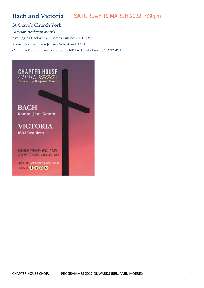# <span id="page-3-0"></span>**Bach and Victoria** SATURDAY 19 MARCH 2022, 7:30pm

St Olave's Church York *Director: Benjamin Morris* Ave Regina Caelorum – Tomás Luis de VICTORIA Komm, Jesu komm – Johann Sebastian BACH Officium Defunctorum – Requiem 1605 – Tomás Luis de VICTORIA

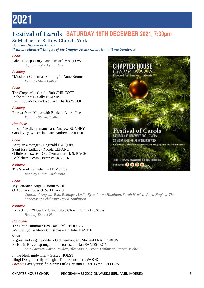# <span id="page-4-0"></span>2021

# <span id="page-4-1"></span>**Festival of Carols SATURDAY 18TH DECEMBER 2021, 7:30pm**

St Michael-le-Belfrey Church, York

*Director: Benjamin Morris With the Handbell Ringers of the Chapter House Choir, led by Tina Sanderson*

### *Choir*

Advent Responsory - arr. Richard MARLOW *Soprano solo: Lydia Eyre*

#### *Reading*

"Music on Christmas Morning" - Anne Bronte *Read by Mark Latham*

### *Choir*

The Shepherd's Carol - Bob CHILCOTT In the stillness - Sally BEAMISH Past three o'clock - Trad., arr. Charles WOOD

#### *Reading*

Extract from "Cider with Rosie" - Laurie Lee *Read by Shirley Collier*

#### *Handbells*

Il est né le divin enfant - arr. Andrew BUNNEY Good King Wenceslas - arr. Andrew CARTER

#### *Choir*

Away in a manger - Reginald JACQUES Saint Ita's Lullaby - Nicola LEFANU O little one sweet - Old German, arr. J. S. BACH Bethlehem Down - Peter WARLOCK

#### *Reading*

The Star of Bethlehem - Jill Monroe *Read by Claire Duckworth*

#### *Choir*

#### My Guardian Angel - Judith WEIR O Adonai - Roderick WILLIAMS

*Chorus of Angels: Ruth Bellinger, Lydia Eyre, Lorna Hamilton, Sarah Hewlett, Anna Hughes, Tina Sanderson; Celebrant: David Tomlinson*

#### *Reading*

Extract from "How the Grinch stole Christmas" by Dr. Seuss *Read by Daniel Hunt*

### *Handbells*

The Little Drummer Boy - arr. Phil REDDING We wish you a Merry Christmas - arr. John HASTIE Choir

A great and might wonder - Old German, arr. Michael PRAETORIUS Es ist ein Ros entsprungen - Praetorius, arr. Jan SANDSTRÖM *Solo Quartet: Sarah Hewlett, Ally Martin, David Tomlinson, James Belcher*

In the bleak midwinter - Gustav HOLST Ding! Dong! merrily on high - Trad. French, arr. WOOD *Encore:* Have yourself a Merry Little Christmas – arr. Peter GRITTON

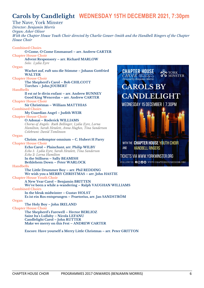# <span id="page-5-0"></span>**Carols by Candlelight WEDNESDAY 15TH DECEMBER 2021, 7:30pm**

#### The Nave, York Minster *Director: Benjamin Morris Organ: Asher Oliver With the Chapter House Youth Choir directed by Charlie Gower-Smith and the Handbell Ringers of the Chapter House Choir* **Combined Choirs O Come, O Come Emmanuel – arr. Andrew CARTER Chapter House Choir Advent Responsory – arr. Richard MARLOW** *Solo: Lydia Eyre* **Organ Wachet auf, ruft uns die Stimme – Johann Gottfried CHAPTER HOUSE YORK WALTER**  $CHOIR$ **MINSTER Chapter House Choir** Directed by Benjamin Morris **The Shepherd's Carol – Bob CHILCOTT CAROLS BY Torches – John JOUBERT Handbells Il est né le divin enfant – arr. Andrew BUNNEY CANDLELIGHT Good King Wenceslas – arr. Andrew CARTER Chapter House Choir** WEDNESDAY 15 DECEMBER | 7.30PM **Sir Christèmas – William MATTHIAS Combined Choirs My Guardian Angel – Judith WEIR Chapter House Choir O Adonai – Roderick WILLIAMS** *Chorus of Angels: Ruth Bellinger, Lydia Eyre, Lorna Hamilton, Sarah Hewlett, Anna Hughes, Tina Sanderson Celebrant: David Tomlinson* **Organ Christe, redemptor omnium – C. Hubert H Parry** WITH THE CHAPTER HOUSE YOUTH CHOIR **Chapter House Choir Echo Carol – Plainchant, arr. Philip WILBY AND HANDBELL RINGERS** *Echo 1: Lydia Eyre, Sarah Hewlett, Tina Sanderson Echo 2: Lorna Hamilton* TICKETS VIA WWW.YORKMINSTER.ORG **In the Stillness – Sally BEAMISH** FOLLOW US **OOO** WWW.CHAPTERHOUSECHOIR.ORG **Bethlehem Down – Peter WARLOCK Handbells The Little Drummer Boy – arr. Phil REDDING We wish you a MERRY CHRISTMAS – arr. John HASTIE Chapter House Youth Choir A New Year Carol – Benjamin BRITTEN We've been a while a-wandering – Ralph VAUGHAN WILLIAMS Combined Choirs In the bleak midwinter – Gustav HOLST Es ist ein Ros entsprungen – Praetorius, arr. Jan SANDSTRÖM Organ The Holy Boy – John IRELAND Chapter House Choir The Shepherd's Farewell – Hector BERLIOZ Saint Ita's Lullaby – Nicola LEFANU Candlelight Carol – John RUTTER Make we merry on this Fest – ANDREW CARTER Encore: Have yourself a Merry Little Christmas – arr. Peter GRITTON**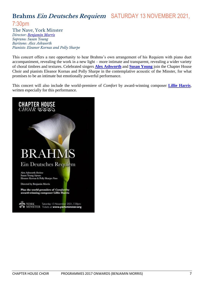# <span id="page-6-0"></span>**Brahms Ein Deutsches Requiem** SATURDAY 13 NOVEMBER 2021,

## 7:30pm

The Nave, York Minster *Director: [Benjamin Morris](https://www.chapterhousechoir.org/about/musical-director/) Soprano: Susan Young Baritone: Alex Ashworth Pianists: Eleanor Kornas and Polly Sharpe*

This concert offers a rare opportunity to hear Brahms's own arrangement of his Requiem with piano duet accompaniment, revealing the work in a new light – more intimate and transparent, revealing a wider variety of choral timbres and textures. Celebrated singers **[Alex Ashworth](https://www.alexashworth.com/)** and **[Susan Young](https://www.susanyoungsoprano.com/)** join the Chapter House Choir and pianists Eleanor Kornas and Polly Sharpe in the contemplative acoustic of the Minster, for what promises to be an intimate but emotionally powerful performance.

This concert will also include the world-premiere of *Comfort* by award-winning composer **[Lillie Harris](https://www.lillieharris.com/)**, written especially for this performance.

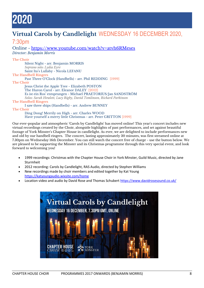# <span id="page-7-0"></span>|2020

# <span id="page-7-1"></span>**Virtual Carols by Candlelight** WEDNESDAY 16 DECEMBER 2020,

## 7:30pm

Online - <https://www.youtube.com/watch?v=atvh6RMeses> *Director: Benjamin Morris*

**The Choir** Silent Night - arr. Benjamin MORRIS *Soprano solo: Lydia Eyre* Saint Ita's Lullaby - Nicola LEFANU **The Handbell Ringers** Past Three O'Clock (Handbells) - arr. Phil REDDING [1999] **The Choir** Jesus Christ the Apple Tree - Elizabeth POSTON The Huron Carol - arr. Eleanor DALEY [2012] Es ist ein Ros' entsprungen - Michael PRAETORIUS/Jan SANDSTRÖM *Solos: Sarah Hewlett, Lucy Rigby, David Tomlinson, Richard Parkinson* **The Handbell Ringers** I saw three ships (Handbells) - arr. Andrew BUNNEY **The Choir** Ding Dong! Merrily on High - arr. Charles WOOD Have yourself a merry little Christmas - arr. Peter GRITTON [1999]

Our ever-popular and atmospheric 'Carols by Candlelight' has moved online! This year's concert includes new virtual recordings created by the Choir, alongside highlights of past performances, and set against beautiful footage of York Minster's Chapter House in candlelight. As ever, we are delighted to include performances new and old by our handbell ringers. The concert, lasting approximately 30 minutes, was first streamed online at 7.30pm on Wednesday 16th December. You can still watch the concert free of charge - use the button below. We are pleased to be supporting the Minster and its Christmas programme through this very special event, and look forward to welcoming you!

- 1999 recordings: Christmas with the Chapter House Choir in York Minster, Guild Music, directed by Jane Sturmheit
- 2012 recording: Carols by Candlelight, RAS Audio, directed by Stephen Williams
- New recordings made by choir members and edited together by Kat Young <https://katyoungaudio.wixsite.com/home>
- Location video and audio by David Rose and Thomas Schubert<https://www.davidrosesound.co.uk/>

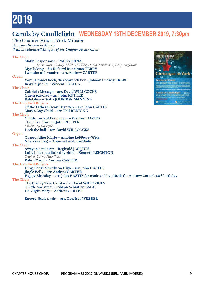# <span id="page-8-0"></span>2019

# <span id="page-8-1"></span>**Carols by Candlelight WEDNESDAY 18TH DECEMBER 2019, 7:30pm**

The Chapter House, York Minster *Director: Benjamin Morris With the Handbell Ringers of the Chapter House Choir*

## **The Choir**

|                                                                                                         | снонк                      |
|---------------------------------------------------------------------------------------------------------|----------------------------|
| <b>Matin Responsory - PALESTRINA</b>                                                                    | brings you                 |
| Solos: Alex Lindley, Shirley Collier, David Tomlinson, Geoff Egginton                                   |                            |
| Myn lyking – Sir Richard Runciman TERRY                                                                 |                            |
| I wonder as I wander - arr. Andrew CARTER                                                               | Christmas i                |
| Organ                                                                                                   |                            |
| Vom Himmel hoch, da komm ich her – Johann Ludwig KREBS                                                  | <b>Festival of Carols</b>  |
| In dulci jubilo - Vincent LUBECK                                                                        |                            |
| <b>The Choir</b>                                                                                        |                            |
| Gabriel's Message - arr. David WILLCOCKS                                                                | <b>Carols by Candici</b> n |
| Quem pastores - arr. John RUTTER                                                                        | D (18) DECEMBER 7:36RM     |
| <b>Balulalow - Sasha JOHNSON MANNING</b>                                                                |                            |
| <b>The Handbell Ringers</b>                                                                             | o                          |
| Of the Father's Heart Begotten - arr. John HASTIE                                                       |                            |
| Mary's Boy Child - arr. Phil REDDING                                                                    |                            |
| <b>The Choir</b>                                                                                        |                            |
| O little town of Bethlehem - Walford DAVIES                                                             |                            |
| There is a flower - John RUTTER                                                                         |                            |
| Soloist: Lydia Eyre                                                                                     |                            |
| Deck the hall - arr. David WILLCOCKS                                                                    |                            |
| Organ                                                                                                   |                            |
| Or nous dites Marie - Antoine Lefébure-Wely                                                             |                            |
| Noel (Swuisse) – Antoine Lefébure-Wely                                                                  |                            |
| <b>The Choir</b>                                                                                        |                            |
| Away in a manger - Reginald JACQUES                                                                     |                            |
| Lully lulla thou little tiny child - Kenneth LEIGHTON                                                   |                            |
| Soloist: Lorna Hamilton                                                                                 |                            |
| <b>Polish Carol - Andrew CARTER</b>                                                                     |                            |
| <b>The Handbell Ringers</b>                                                                             |                            |
| Ding Dong! Merrily on High - arr. John HASTIE                                                           |                            |
| Jingle Bells – arr. Andrew CARTER                                                                       |                            |
| Happy Birthday – arr. John HASTIE for choir and handbells for Andrew Carter's 80 <sup>th</sup> birthday |                            |
| <b>The Choir</b>                                                                                        |                            |
| The Cherry Tree Carol - arr. David WILLCOCKS                                                            |                            |
| O little one sweet - Johann Sebastian BACH                                                              |                            |
| De Virgin Mary - Andrew CARTER                                                                          |                            |
| Encore: Stille nacht - arr. Geoffrey WEBBER                                                             |                            |
|                                                                                                         |                            |

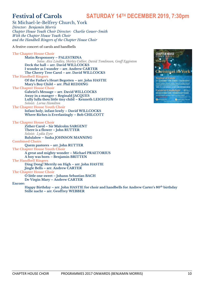# <span id="page-9-0"></span>**Festival of Carols SATURDAY 14TH DECEMBER 2019, 7:30pm**

St Michael-le-Belfrey Church, York *Director: Benjamin Morris Chapter House Youth Choir Director: Charlie Gower*-*Smith With the Chapter House Youth Choir and the Handbell Ringers of the Chapter House Choir*

A festive concert of carols and handbells

**The Chapter House Choir Matin Responsory – PALESTRINA** *Solos: Alex Lindley, Shirley Collier, David Tomlinson, Geoff Egginton* **Deck the hall – arr. David WILLCOCKS I wonder as I wander – arr. Andrew CARTER The Cherry Tree Carol – arr. David WILLCOCKS The Handbell Ringers Of the Father's Heart Begotten – arr. John HASTIE Mary's Boy Child – arr. Phil REDDING The Chapter House Choir Gabriel's Message – arr. David WILLCOCKS Away in a manger – Reginald JACQUES Lully lulla thou little tiny child – Kenneth LEIGHTON** *Soloist: Lorna Hamilton* **The Chapter House Youth Choir Infant holy, infant lowly – David WILLCOCKS Where Riches is Everlastingly – Bob CHILCOTT The Chapter House Choir Zither Carol – Sir Malcolm SARGENT There is a flower – John RUTTER** *Soloist: Lydia Eyre* **Balulalow – Sasha JOHNSON MANNING Combined Choirs Quem pastores – arr. John RUTTER The Chapter House Youth Choir A great and mighty wonder – Michael PRAETORIUS A boy was born – Benjamin BRITTEN The Handbell Ringers Ding Dong! Merrily on High – arr. John HASTIE Jingle Bells – arr. Andrew CARTER The Chapter House Choir O little one sweet – Johann Sebastian BACH De Virgin Mary – Andrew CARTER Encore: Happy Birthday – arr. John HASTIE for choir and handbells for Andrew Carter's 80th birthday Stille nacht – arr. Geoffrey WEBBER**

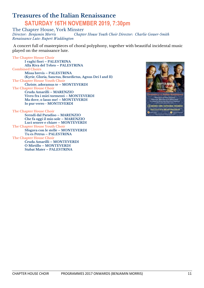# <span id="page-10-0"></span>**Treasures of the Italian Renaissance SATURDAY 16TH NOVEMBER 2019, 7:30pm**

The Chapter House, York Minster<br>Director: Benjamin Morris Chapte *Director: Benjamin Morris Chapter House Youth Choir Director: Charlie Gower*-*Smith Renaissance Lute: Rupert Waddington*

A concert full of masterpieces of choral polyphony, together with beautiful incidental music played on the renaissance lute.

**The Chapter House Choir I vaghi fiori – PALESTRINA Alla Riva del Tebro – PALESTRINA Combined Choirs Missa brevis – PALESTRINA (Kyrie, Gloria, Sanctus, Benedictus, Agnus Dei I and II) The Chapter House Youth Choir Christe, adoramus te – MONTEVERDI The Chapter House Choir Cruda Amarilli – MARENZIO Vivro fra i miei tormenti – MONTEVERDI Ma dove, o lasso me! – MONTEVERDI Io pur verro - MONTEVERDI The Chapter House Choir**

**Scendi dal Paradiso – MARENZIO Che fa oggi il mio sole – MARENZIO Luci senere e chiare – MONTEVERDI The Chapter House Youth Choir Sfogava con le stelle – MONTEVERDI Tu es Petrus – PALESTRINA The Chapter House Choir Cruda Amarilli – MONTEVERDI O Mirtillo – MONTEVERDI Stabat Mater – PALESTRINA**

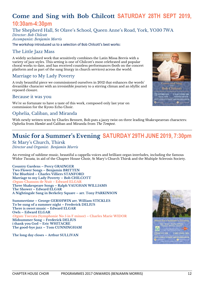# <span id="page-11-0"></span>**Come and Sing with Bob Chilcott SATURDAY 28TH SEPT 2019, 10:30am-4:30pm**

The Shepherd Hall, St Olave's School, Queen Anne's Road, York, YO30 7WA *Director: Bob Chilcott Accompanist: Benjamin Morris*

The workshop introduced us to a selection of Bob Chilcott's best works:

## The Little Jazz Mass

A widely acclaimed work that sensitively combines the Latin Missa Brevis with a variety of jazz styles. This setting is one of Chilcott's most celebrated and popular choral works to date, and has received countless performances (both on the concert platform and as part of the sung liturgy in church services) across the world.

## Marriage to My Lady Poverty

A truly beautiful piece we commissioned ourselves in 2012 that enhances the words' dreamlike character with an irresistible journey to a stirring climax and an idyllic and reposed closure.

### Because it was you

We're so fortunate to have a taste of this work, composed only last year on commission for the Kyoto Echo Choir.

### Ophelia, Caliban, and Miranda

With newly written texts by Charles Bennett. Bob puts a jazzy twist on three leading Shakespearean characters: Ophelia from *Hamlet* and Caliban and Miranda from *The Tempest*.

# <span id="page-11-1"></span>**Music for a Summer's Evening SATURDAY 29TH JUNE 2019, 7:30pm**

St Mary's Church, Thirsk *Director and Organist: Benjamin Morris*

An evening of sublime music, beautiful a cappella voices and brilliant organ interludes, including the famous Widor *Toccata,* in aid of the Chapter House Choir, St Mary's Church Thirsk and the Multiple Sclerosis Society.

**Country Gardens – Percy GRAINGER Two Flower Songs – Benjamin BRITTEN The Bluebird – Charles Villiers STANFORD Marriage to my Lady Poverty – Bob CHILCOTT Organ: Chanson de Nuit – Edward ELGAR Three Shakespeare Songs – Ralph VAUGHAN WILLIAMS The Shower – Edward ELGAR A Nightingale Sang in Berkeley Square – arr. Tony PARKINSON**

**Summertime – George GERSHWIN arr. William STICKLES To be sung of a summer night – Frederick DELIUS There is sweet music – Edward ELGAR Owls – Edward ELGAR Organ: Toccata (Symphonie No 5 in F minor) – Charles Marie WIDOR Midsummer Song – Frederick DELIUS i thank you God – Eric WHITACRE The good-bye jazz – Tom CUNNINGHAM**

**The long day closes – Arthur SULLIVAN**



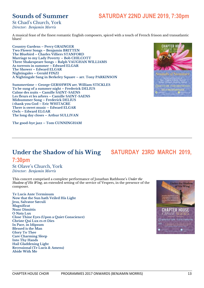# <span id="page-12-0"></span>**Sounds of Summer SATURDAY 22ND JUNE 2019, 7:30pm**

St Chad's Church, York *Director: Benjamin Morris*

A musical feast of the finest romantic English composers, spiced with a touch of French frisson and transatlantic blues!

**Country Gardens – Percy GRAINGER Two Flower Songs – Benjamin BRITTEN The Bluebird – Charles Villiers STANFORD Marriage to my Lady Poverty – Bob CHILCOTT Three Shakespeare Songs – Ralph VAUGHAN WILLIAMS As torrents in summer – Edward ELGAR The Shower – Edward ELGAR Nightingales – Gerald FINZI A Nightingale Sang in Berkeley Square – arr. Tony PARKINSON**

**Summertime – George GERSHWIN arr. William STICKLES To be sung of a summer night – Frederick DELIUS Calme des nuits – Camille SAINT-SAENS Les fleurs et les arbres – Camille SAINT-SAENS Midsummer Song – Frederick DELIUS i thank you God – Eric WHITACRE There is sweet music – Edward ELGAR Owls – Edward ELGAR The long day closes – Arthur SULLIVAN**

**The good-bye jazz – Tom CUNNINGHAM**



# <span id="page-12-1"></span>**Under the Shadow of his Wing SATURDAY 23RD MARCH 2019,**

### **7:30pm** St Olave's Church, York *Director: Benjamin Morris*

This concert comprised a complete performance of Jonathan Rathbone's *Under the Shadow of His Wing*, an extended setting of the service of Vespers, in the presence of the composer.

**Te Lucis Ante Terminum Now that the Sun hath Veiled His Light Jesu, Salvator Sæculi Magnificat Nunc Dimittis O Nata Lux Close Thine Eyes (Upon a Quiet Conscience) Christe Qui Lux es et Dies In Pace, in Idipsum Blessed is the Man Glory To Thee Care Charming Sleep Into Thy Hands Hail Gladdening Light Recessional (Te Lucis & Amens) Abide With Me**

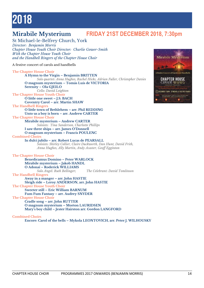# <span id="page-13-1"></span><span id="page-13-0"></span>**Mirabile Mysterium FRIDAY 21ST DECEMBER 2018, 7:30pm**

St Michael-le-Belfrey Church, York *Director: Benjamin Morris Chapter House Youth Choir Director: Charlie Gower*-*Smith With the Chapter House Youth Choir and the Handbell Ringers of the Chapter House Choir*

A festive concert of carols and handbells

**The Chapter House Choir A Hymn to the Virgin – Benjamin BRITTEN** *Solo quartet: Anna Hughes, Rachel Hicks, Adrian Fuller, Christopher Davies* **O magnum mysterium – Tomás Luís de VICTORIA Serenity – Ola GJEILO** *Cello: David Leighton* **The Chapter House Youth Choir O little one sweet – J.S. BACH Coventry Carol – arr. Martin SHAW The Handbell Ringers O little town of Bethlehem – arr. Phil REDDING Unto us a boy is born – arr. Andrew CARTER The Chapter House Choir Mirabile mysterium – Andrew CARTER** *Soloists: Tina Sanderson, Charlotte Phillips* **I saw three ships – arr. James O'Donnell O magnum mysterium – Francis POULENC Combined Choirs In dulci jubilo – arr. Robert Lucas de PEARSALL** *Soloists: Shirley Collier, Claire Duckworth, Dan Hunt, David Frith, Anna Hughes, Ally Martin, Andy Acaster, Geoff Egginton* **The Chapter House Choir Benedicamus Domino – Peter WARLOCK Mirabile mysterium – Jakob HANDL O Adonaï – Roderick WILLIAMS** *Solo Angel: Ruth Bellinger; The Celebrant: David Tomlinson* **The Handbell Ringers Away in a manger – arr. John HASTIE Sleigh ride – Leroy ANDERSON, arr. John HASTIE The Chapter House Youth Choir Sweeter still – Eric William BARNUM Fum Fum Fantasy – arr. Audrey SNYDER The Chapter House Choir Cradle song – arr. John RUTTER O magnum mysterium – Morton LAURIDSEN Mary's boy child – Jester Hairston arr. Gordon LANGFORD**

#### **Combined Choirs**

**Encore: Carol of the bells – Mykola LEONTOVICH, arr. Peter J. WILHOUSKY**

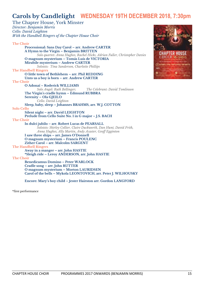# <span id="page-14-0"></span>**Carols by Candlelight WEDNESDAY 19TH DECEMBER 2018, 7:30pm**

The Chapter House, York Minster *Director: Benjamin Morris Cello: David Leighton With the Handbell Ringers of the Chapter House Choir* **The Choir Processional: Sans Day Carol – arr. Andrew CARTER A Hymn to the Virgin – Benjamin BRITTEN** *Solo quartet: Anna Hughes, Rachel Hicks, Adrian Fuller, Christopher Davies* **O magnum mysterium – Tomás Luís de VICTORIA Mirabile mysterium – Andrew CARTER** *Soloists: Tina Sanderson, Charlotte Phillips* **The Handbell Ringers O little town of Bethlehem – arr. Phil REDDING Unto us a boy is born – arr. Andrew CARTER The Choir O Adonaï – Roderick WILLIAMS** *Solo Angel: Ruth Bellinger; The Celebrant: David Tomlinson* **The Virgin's cradle hymn – Edmund RUBBRA Serenity – Ola GJEILO** *Cello: David Leighton* **Sleep, baby, sleep – Johannes BRAHMS, arr. W.J. COTTON Solo Cello Silent night – arr. David LEIGHTON Prelude from Cello Suite No. 1 in G major – J.S. BACH The Choir In dulci jubilo – arr. Robert Lucas de PEARSALL** *Soloists: Shirley Collier, Claire Duckworth, Dan Hunt, David Frith, Anna Hughes, Ally Martin, Andy Acaster, Geoff Egginton* **I saw three ships – arr. James O'Donnell O magnum mysterium – Francis POULENC Zither Carol – arr. Malcolm SARGENT The Handbell Ringers Away in a manger – arr. John HASTIE \*Sleigh ride – Leroy ANDERSON, arr. John HASTIE The Choir Benedicamus Domino – Peter WARLOCK Cradle song – arr. John RUTTER O magnum mysterium – Morton LAURIDSEN Carol of the bells – Mykola LEONTOVICH, arr. Peter J. WILHOUSKY Encore: Mary's boy child – Jester Hairston arr. Gordon LANGFORD**

\*first performance

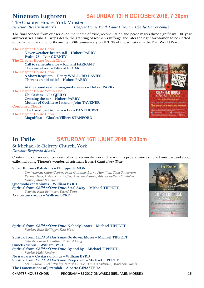# <span id="page-15-0"></span>**Nineteen Eighteen SATURDAY 13TH OCTOBER 2018, 7:30pm**

#### The Chapter House, York Minster *Director: Benjamin Morris Chapter House Youth Choir Director: Charlie Gower*-*Smith*

The final concert from our series on the theme of exile, reconciliation and peace marks three significant 100-year anniversaries: Hubert Parry's death, the granting of women's suffrage and later the right for women to be elected to parliament, and the forthcoming 100th anniversary on 11/11/18 of the armistice in the First World War.

**The Chapter House Choir Never weather-beaten sail – Hubert PARRY Psalm 23 – Ivor GURNEY The Chapter House Youth Choir Call to remembrance – Richard FARRANT They are at rest – Edward ELGAR The Chapter House Choir A Short Requiem – Henry WALFORD DAVIES There is an old belief – Hubert PARRY**

**At the round earth's imagined corners – Hubert PARRY The Chapter House Youth Choir Ubi Caritas – Ola GJEILO Crossing the bar – Hubert PARRY Mother of God, here I stand – John TAVENER Combined Choirs The Pankhurst Anthem – Lucy PANKHURST The Chapter House Choir Magnificat – Charles Villiers STANFORD**



# <span id="page-15-1"></span>**In Exile SATURDAY 16TH JUNE 2018, 7:30pm** St Michael-le-Belfrey Church, York

*Director: Benjamin Morris*

Continuing our series of concerts of exile, reconciliation and peace, this programme explored music in and about exile, including Tippett's wonderful spirituals from *A Child of our Time*.

#### **Super flumina Babylonis – Philippe de MONTE**

*Semi-chorus: Cathy Cooper, Fran Guilding, Lorna Hamilton, Tina Sanderson, Rachel Hicks, Helen Korndorffer, Andrew Acaster, Adrian Fuller, Christopher Davies, Mark Simmonds*

**Quomodo cantabimus – William BYRD Spritual from Child of Our Time: Steal Away – Michael TIPPETT** *Soloists: Ruth Bellinger, David Penn*

**Ave verum corpus – William BYRD**



**Spritual from Child of Our Time: Nobody knows – Michael TIPPETT** *Soloists: Ruth Bellinger, Dan Hunt*

**Spritual from Child of Our Time: Go down, Moses – Michael TIPPETT** *Soloists: Lorna Hamilton, Richard Long* **Cunctis diebus – William BYRD Spritual from Child of Our Time: By and by – Michael TIPPETT** *Soloist: Vikki Pendry* **Ne irascaris – Civitas sancti tui – William BYRD Spritual from Child of Our Time: Deep river – Michael TIPPETT**

*Semi-chorus: Vikki Pendry, Natasha Brice, David Tomlinson, Mark Simmonds* **The Lamentations of Jeremiah – Alberto GINASTERA**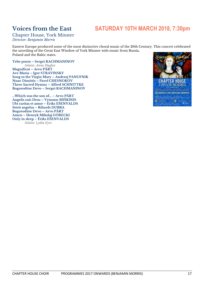# <span id="page-16-0"></span>**Voices from the East SATURDAY 10TH MARCH 2018, 7:30pm**

### Chapter House, York Minster *Director: Benjamin Morris*

Eastern Europe produced some of the most distinctive choral music of the 20th Century. This concert celebrated the unveiling of the Great East Window of York Minster with music from Russia, Poland and the Baltic states.

**Tebe poem – Sergei RACHMANINOV** *Soloist: Anna Hughes* **Magnificat – Arvo PÄRT Ave Maria – Igor STRAVINSKY Song to the Virgin Mary – Andrzej PANUFNIK Nunc Dimittis – Pavel CHESNOKOV Three Sacred Hymns – Alfred SCHNITTKE Bogoroditse Devo – Sergei RACHMANINOV**

**…Which was the son of… – Arvo PÄRT Angelis suis Deus – Vytautas MIŠKINIS Ubi caritas et amor – Ēriks EŠENVALDS Stetit angelus – Rihards DUBRA Bogoroditse Devo – Arvo PÄRT Amen – Henryk Mikolaj GÓRECKI Only in sleep – Ēriks EŠENVALDS** *Soloist: Lydia Eyre*

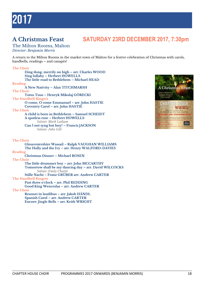# <span id="page-17-1"></span><span id="page-17-0"></span>**A Christmas Feast SATURDAY 23RD DECEMBER 2017, 7:30pm**

#### The Milton Rooms, Malton *Director: Benjamin Morris*

A return to the Milton Rooms in the market town of Malton for a festive celebration of Christmas with carols, handbells, readings – and canapés!

#### **The Choir**

**The Choir**

**Ding dong, merrily on high – arr. Charles WOOD Sing lullaby – Herbert HOWELLS The little road to Bethlehem – Michael HEAD Reading A New Nativity – Alan TITCHMARSH The Choir Totus Tuus – Henryk Mikolaj GÓRECKI The Handbell Ringers O come, O come Emmanuel – arr. John HASTIE Coventry Carol – arr. John HASTIE The Choir A child is born in Bethlehem – Samuel SCHEIDT A spotless rose – Herbert HOWELLS** *Soloist: Mark Latham* **Can I not syng but hoy? – Francis JACKSON** *Soloist: John Gill* **The Choir Gloucestershire Wassail – Ralph VAUGHAN WILLIAMS The Holly and the Ivy – arr. Henry WALFORD-DAVIES Reading Christmas Dinner – Michael ROSEN The Choir The little drummer boy – arr. John MCCARTHY Tomorrow shall be my dancing day – arr. David WILCOCKS** *Soloist***:** *Emily Chattle* **Stille Nacht – Franz GRÜBER arr. Andrew CARTER The Handbell Ringers Past three o'clock – arr. Phil REDDING**

**Good King Wenceslas – arr. Andrew CARTER**

**Resonet in laudibus – arr. Jakob HÄNDL Spanish Carol – arr. Andrew CARTER Encore: Jingle Bells – arr. Keith WRIGHT**

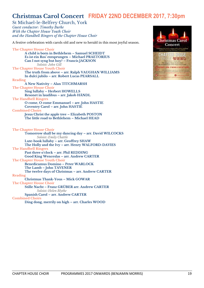# <span id="page-18-0"></span>**Christmas Carol Concert FRIDAY 22ND DECEMBER 2017, 7:30pm**

St Michael-le-Belfrey Church, York *Guest conductor: Timothy Burke With the Chapter House Youth Choir and the Handbell Ringers of the Chapter House Choir*

A festive celebration with carols old and new to herald in this most joyful season.

**The Chapter House Choir A child is born in Bethlehem – Samuel SCHEIDT Es ist ein Ros' entsprungen – Michael PRAETORIUS Can I not syng but hoy? – Francis JACKSON** *Soloist: John Gill* **The Chapter House Youth Choir The truth from above – arr. Ralph VAUGHAN WILLIAMS In dulci jubilo – arr. Robert Lucas PEARSALL Reading A New Nativity – Alan TITCHMARSH The Chapter House Choir Sing lullaby – Herbert HOWELLS Resonet in laudibus – arr. Jakob HÄNDL The Handbell Ringers O come, O come Emmanuel – arr. John HASTIE Coventry Carol – arr. John HASTIE Combined Choirs Jesus Christ the apple tree – Elizabeth POSTON The little road to Bethlehem – Michael HEAD The Chapter House Choir Tomorrow shall be my dancing day – arr. David WILCOCKS** *Soloist***:** *Emily Chattle* **Lute-book lullaby – arr. Geoffrey SHAW The Holly and the Ivy – arr. Henry WALFORD-DAVIES The Handbell Ringers Past three o'clock – arr. Phil REDDING Good King Wenceslas – arr. Andrew CARTER The Chapter House Youth Choir Benedicamus Domino – Peter WARLOCK The Lamb – John TAVENER The twelve days of Christmas – arr. Andrew CARTER Reading Christmas Thank-Yous – Mick GOWAR The Chapter House Choir Stille Nacht – Franz GRÜBER arr. Andrew CARTER** *Soloist***:** *Helen Blythe* **Spanish Carol – arr. Andrew CARTER Combined Choirs Ding dong, merrily on high – arr. Charles WOOD**

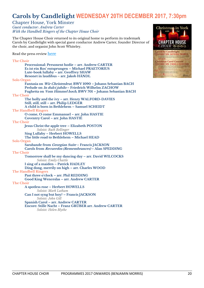# <span id="page-19-0"></span>**Carols by Candlelight WEDNESDAY 20TH DECEMBER 2017, 7:30pm**

Chapter House, York Minster *Guest conductor: Andrew Carter With the Handbell Ringers of the Chapter House Choir*

The Chapter House Choir returned to its original home to perform its trademark Carols by Candlelight with special guest conductor Andrew Carter, founder Director of the choir, and organist John Scott Whiteley.

Read the press review **[here](http://www.yorkpress.co.uk/leisure/music/15787189.Review__Chapter_House_Choir__Carols_By_Candlelight__Chapter_House__York_Minster__December_20/)**

**The Choir Processional: Personent hodie – arr. Andrew CARTER Es ist ein Ros' entsprungen – Michael PRAETORIUS Lute-book lullaby – arr. Geoffrey SHAW Resonet in laudibus – arr. Jakob HÄNDL Solo Organ Fantasia on Wir Christenleut, BWV 1090 – Johann Sebastian BACH Prelude on In dulci jubilo – Friedrich Wilhelm ZACHOW Fughetta on Vom Himmel hoch, BWV 701 – Johann Sebastian BACH The Choir The holly and the ivy – arr. Henry WALFORD-DAVIES Still, still, still – arr. Philip LEDGER A child is born in Bethlehem – Samuel SCHEIDT The Handbell Ringers O come, O come Emmanuel – arr. John HASTIE Coventry Carol – arr. John HASTIE The Choir Jesus Christ the apple tree – Elizabeth POSTON** *Soloist: Ruth Bellinger* **Sing Lullaby – Herbert HOWELLS The little road to Bethlehem – Michael HEAD Solo Organ Sarabande from Georgian Suite – Francis JACKSON Carols from Recuerdos (Remembrances) – Alan SPEDDING The Choir Tomorrow shall be my dancing day – arr. David WILCOCKS** *Soloist: Emily Chattle* **I sing of a maiden – Patrick HADLEY Ding dong, merrily on high – arr. Charles WOOD The Handbell Ringers Past three o'clock – arr. Phil REDDING Good King Wenceslas – arr. Andrew CARTER The Choir A spotless rose – Herbert HOWELLS** *Soloist: Mark Latham* **Can I not syng but hoy? – Francis JACKSON** *Soloist: John Gill* **Spanish Carol – arr. Andrew CARTER Encore: Stille Nacht – Franz GRÜBER arr. Andrew CARTER** *Soloist: Helen Blythe*